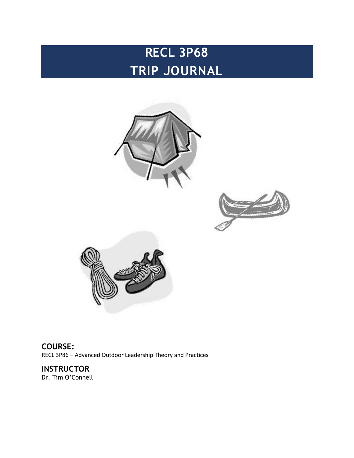# **RECL 3P68 TRIP JOURNAL**







**COURSE:** RECL 3P86 – Advanced Outdoor Leadership Theory and Practices

**INSTRUCTOR** Dr. Tim O'Connell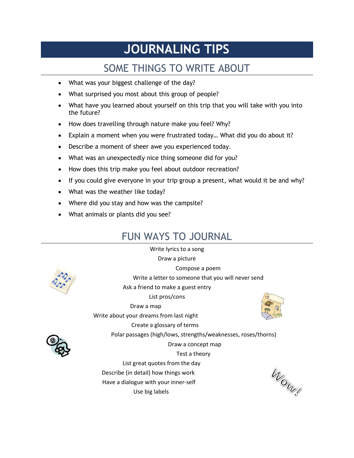# **JOURNALING TIPS**

# SOME THINGS TO WRITE ABOUT

- What was your biggest challenge of the day?
- What surprised you most about this group of people?
- What have you learned about yourself on this trip that you will take with you into the future?
- How does travelling through nature make you feel? Why?
- Explain a moment when you were frustrated today… What did you do about it?
- Describe a moment of sheer awe you experienced today.
- What was an unexpectedly nice thing someone did for you?
- How does this trip make you feel about outdoor recreation?
- If you could give everyone in your trip group a present, what would it be and why?
- What was the weather like today?
- Where did you stay and how was the campsite?
- What animals or plants did you see?

# FUN WAYS TO JOURNAL

Write lyrics to a song Draw a picture Compose a poem Write a letter to someone that you will never send Ask a friend to make a guest entry List pros/cons Draw a map Write about your dreams from last night Create a glossary of terms Polar passages (high/lows, strengths/weaknesses, roses/thorns) Draw a concept map Test a theory List great quotes from the day Describe (in detail) how things work

Have a dialogue with your inner-self

Use big labels

**UNDIRER** 

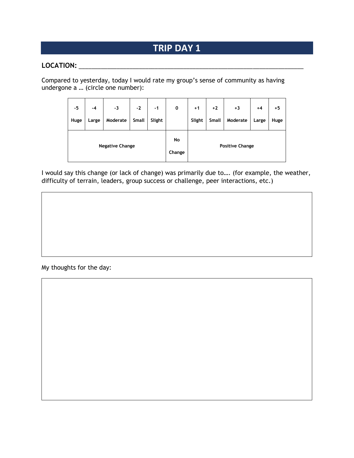#### **LOCATION:** \_\_\_\_\_\_\_\_\_\_\_\_\_\_\_\_\_\_\_\_\_\_\_\_\_\_\_\_\_\_\_\_\_\_\_\_\_\_\_\_\_\_\_\_\_\_\_\_\_\_\_\_\_\_\_\_\_\_\_\_\_\_\_\_\_\_\_\_\_\_\_

Compared to yesterday, today I would rate my group's sense of community as having undergone a … (circle one number):

| -5   | $-4$  | -3                     | $-2$  | $-1$   | $\mathbf 0$  | $+1$   | $+2$  | $+3$                   | $+4$  | $+5$ |
|------|-------|------------------------|-------|--------|--------------|--------|-------|------------------------|-------|------|
| Huge | Large | Moderate               | Small | Slight |              | Slight | Small | Moderate               | Large | Huge |
|      |       | <b>Negative Change</b> |       |        | No<br>Change |        |       | <b>Positive Change</b> |       |      |

I would say this change (or lack of change) was primarily due to…. (for example, the weather, difficulty of terrain, leaders, group success or challenge, peer interactions, etc.)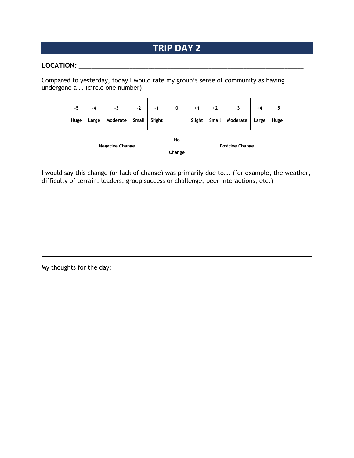#### **LOCATION:** \_\_\_\_\_\_\_\_\_\_\_\_\_\_\_\_\_\_\_\_\_\_\_\_\_\_\_\_\_\_\_\_\_\_\_\_\_\_\_\_\_\_\_\_\_\_\_\_\_\_\_\_\_\_\_\_\_\_\_\_\_\_\_\_\_\_\_\_\_\_\_

Compared to yesterday, today I would rate my group's sense of community as having undergone a … (circle one number):

| -5   | $-4$  | -3                     | $-2$         | $-1$   | 0            | $+1$   | $+2$  | $+3$                   | $+4$  | +5   |
|------|-------|------------------------|--------------|--------|--------------|--------|-------|------------------------|-------|------|
| Huge | Large | Moderate               | <b>Small</b> | Slight |              | Slight | Small | Moderate               | Large | Huge |
|      |       | <b>Negative Change</b> |              |        | No<br>Change |        |       | <b>Positive Change</b> |       |      |

I would say this change (or lack of change) was primarily due to…. (for example, the weather, difficulty of terrain, leaders, group success or challenge, peer interactions, etc.)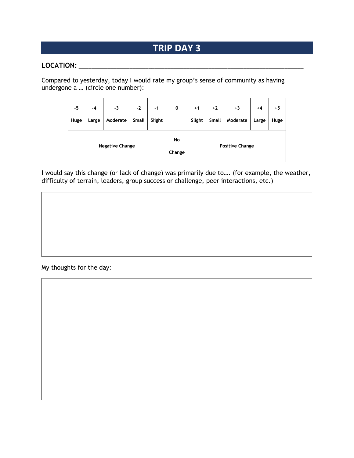#### **LOCATION:** \_\_\_\_\_\_\_\_\_\_\_\_\_\_\_\_\_\_\_\_\_\_\_\_\_\_\_\_\_\_\_\_\_\_\_\_\_\_\_\_\_\_\_\_\_\_\_\_\_\_\_\_\_\_\_\_\_\_\_\_\_\_\_\_\_\_\_\_\_\_\_

Compared to yesterday, today I would rate my group's sense of community as having undergone a … (circle one number):

| -5   | $-4$  | -3                     | $-2$         | $-1$   | 0            | $+1$   | $+2$  | $+3$                   | $+4$  | +5   |
|------|-------|------------------------|--------------|--------|--------------|--------|-------|------------------------|-------|------|
| Huge | Large | Moderate               | <b>Small</b> | Slight |              | Slight | Small | Moderate               | Large | Huge |
|      |       | <b>Negative Change</b> |              |        | No<br>Change |        |       | <b>Positive Change</b> |       |      |

I would say this change (or lack of change) was primarily due to…. (for example, the weather, difficulty of terrain, leaders, group success or challenge, peer interactions, etc.)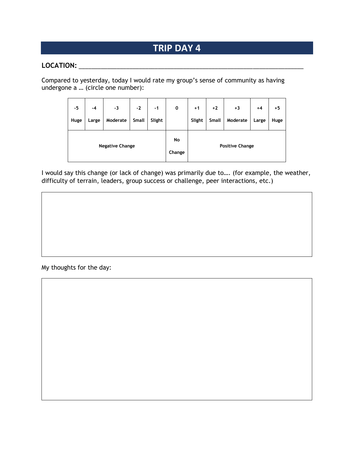#### **LOCATION:** \_\_\_\_\_\_\_\_\_\_\_\_\_\_\_\_\_\_\_\_\_\_\_\_\_\_\_\_\_\_\_\_\_\_\_\_\_\_\_\_\_\_\_\_\_\_\_\_\_\_\_\_\_\_\_\_\_\_\_\_\_\_\_\_\_\_\_\_\_\_\_

Compared to yesterday, today I would rate my group's sense of community as having undergone a … (circle one number):

| -5   | $-4$  | -3                     | $-2$  | $-1$   | $\mathbf 0$  | $+1$   | $+2$  | $+3$                   | $+4$  | $+5$ |
|------|-------|------------------------|-------|--------|--------------|--------|-------|------------------------|-------|------|
| Huge | Large | Moderate               | Small | Slight |              | Slight | Small | Moderate               | Large | Huge |
|      |       | <b>Negative Change</b> |       |        | No<br>Change |        |       | <b>Positive Change</b> |       |      |

I would say this change (or lack of change) was primarily due to…. (for example, the weather, difficulty of terrain, leaders, group success or challenge, peer interactions, etc.)